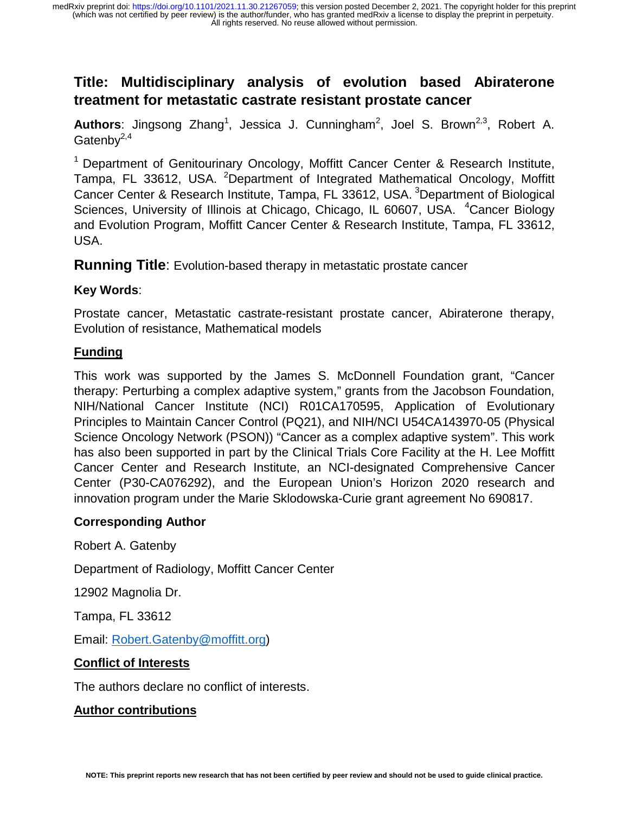# **Title: Multidisciplinary analysis of evolution based Abiraterone treatment for metastatic castrate resistant prostate cancer**

Authors: Jingsong Zhang<sup>1</sup>, Jessica J. Cunningham<sup>2</sup>, Joel S. Brown<sup>2,3</sup>, Robert A. Gatenb $v^{2,4}$ 

<sup>1</sup> Department of Genitourinary Oncology, Moffitt Cancer Center & Research Institute, Tampa, FL 33612, USA. <sup>2</sup>Department of Integrated Mathematical Oncology, Moffitt Cancer Center & Research Institute, Tampa, FL 33612, USA. <sup>3</sup>Department of Biological Sciences, University of Illinois at Chicago, Chicago, IL 60607, USA. <sup>4</sup>Cancer Biology and Evolution Program, Moffitt Cancer Center & Research Institute, Tampa, FL 33612, USA.

**Running Title**: Evolution-based therapy in metastatic prostate cancer

## **Key Words**:

Prostate cancer, Metastatic castrate-resistant prostate cancer, Abiraterone therapy, Evolution of resistance, Mathematical models

## **Funding**

This work was supported by the James S. McDonnell Foundation grant, "Cancer therapy: Perturbing a complex adaptive system," grants from the Jacobson Foundation, NIH/National Cancer Institute (NCI) R01CA170595, Application of Evolutionary Principles to Maintain Cancer Control (PQ21), and NIH/NCI U54CA143970-05 (Physical Science Oncology Network (PSON)) "Cancer as a complex adaptive system". This work has also been supported in part by the Clinical Trials Core Facility at the H. Lee Moffitt Cancer Center and Research Institute, an NCI-designated Comprehensive Cancer Center (P30-CA076292), and the European Union's Horizon 2020 research and innovation program under the Marie Sklodowska-Curie grant agreement No 690817.

## **Corresponding Author**

Robert A. Gatenby

Department of Radiology, Moffitt Cancer Center

12902 Magnolia Dr.

Tampa, FL 33612

Email: Robert.Gatenby@moffitt.org)

## **Conflict of Interests**

The authors declare no conflict of interests.

#### **Author contributions**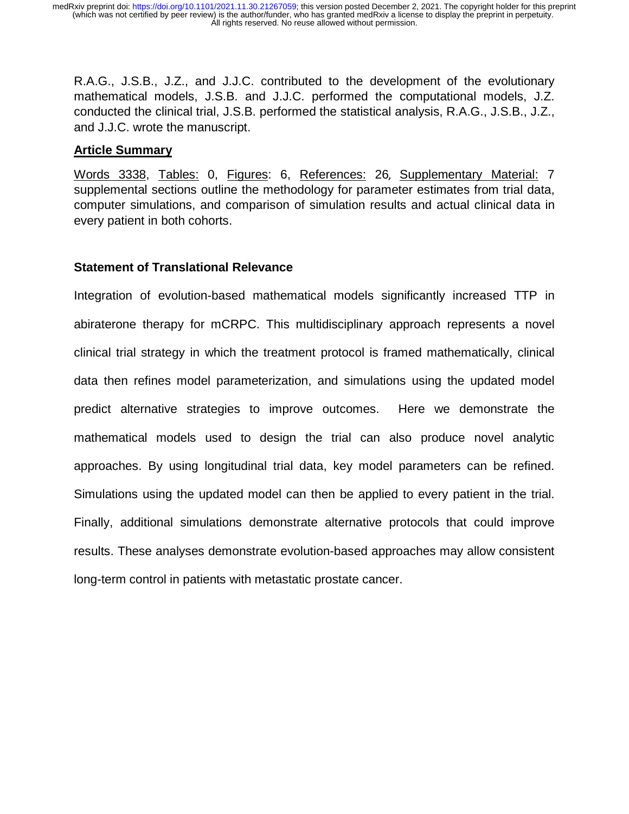R.A.G., J.S.B., J.Z., and J.J.C. contributed to the development of the evolutionary mathematical models, J.S.B. and J.J.C. performed the computational models, J.Z. conducted the clinical trial, J.S.B. performed the statistical analysis, R.A.G., J.S.B., J.Z., and J.J.C. wrote the manuscript.

## **Article Summary**

Words 3338, Tables: 0, Figures: 6, References: 26, Supplementary Material: 7 supplemental sections outline the methodology for parameter estimates from trial data, computer simulations, and comparison of simulation results and actual clinical data in every patient in both cohorts.

## **Statement of Translational Relevance**

Integration of evolution-based mathematical models significantly increased TTP in abiraterone therapy for mCRPC. This multidisciplinary approach represents a novel clinical trial strategy in which the treatment protocol is framed mathematically, clinical data then refines model parameterization, and simulations using the updated model predict alternative strategies to improve outcomes. Here we demonstrate the mathematical models used to design the trial can also produce novel analytic approaches. By using longitudinal trial data, key model parameters can be refined. Simulations using the updated model can then be applied to every patient in the trial. Finally, additional simulations demonstrate alternative protocols that could improve results. These analyses demonstrate evolution-based approaches may allow consistent long-term control in patients with metastatic prostate cancer.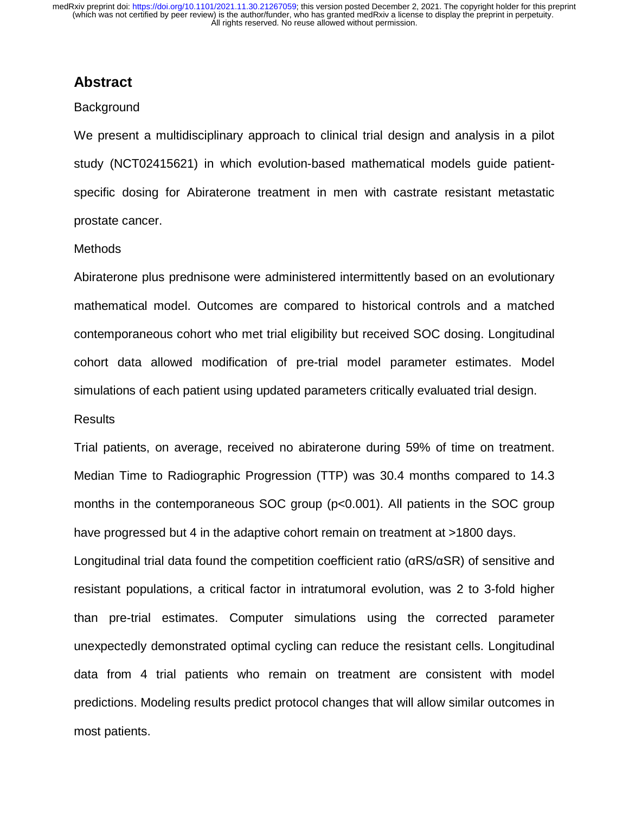## **Abstract**

#### **Background**

We present a multidisciplinary approach to clinical trial design and analysis in a pilot study (NCT02415621) in which evolution-based mathematical models guide patientspecific dosing for Abiraterone treatment in men with castrate resistant metastatic prostate cancer.

#### Methods

Abiraterone plus prednisone were administered intermittently based on an evolutionary mathematical model. Outcomes are compared to historical controls and a matched contemporaneous cohort who met trial eligibility but received SOC dosing. Longitudinal cohort data allowed modification of pre-trial model parameter estimates. Model simulations of each patient using updated parameters critically evaluated trial design.

#### **Results**

Trial patients, on average, received no abiraterone during 59% of time on treatment. Median Time to Radiographic Progression (TTP) was 30.4 months compared to 14.3 months in the contemporaneous SOC group (p<0.001). All patients in the SOC group have progressed but 4 in the adaptive cohort remain on treatment at >1800 days.

Longitudinal trial data found the competition coefficient ratio (αRS/αSR) of sensitive and resistant populations, a critical factor in intratumoral evolution, was 2 to 3-fold higher than pre-trial estimates. Computer simulations using the corrected parameter unexpectedly demonstrated optimal cycling can reduce the resistant cells. Longitudinal data from 4 trial patients who remain on treatment are consistent with model predictions. Modeling results predict protocol changes that will allow similar outcomes in most patients.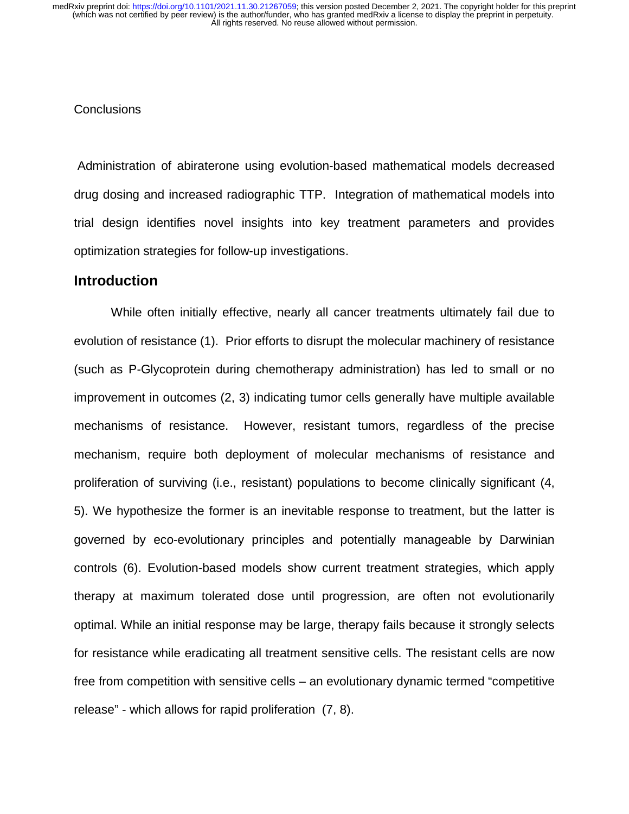#### **Conclusions**

 Administration of abiraterone using evolution-based mathematical models decreased drug dosing and increased radiographic TTP. Integration of mathematical models into trial design identifies novel insights into key treatment parameters and provides optimization strategies for follow-up investigations.

## **Introduction**

While often initially effective, nearly all cancer treatments ultimately fail due to evolution of resistance (1). Prior efforts to disrupt the molecular machinery of resistance (such as P-Glycoprotein during chemotherapy administration) has led to small or no improvement in outcomes (2, 3) indicating tumor cells generally have multiple available mechanisms of resistance. However, resistant tumors, regardless of the precise mechanism, require both deployment of molecular mechanisms of resistance and proliferation of surviving (i.e., resistant) populations to become clinically significant (4, 5). We hypothesize the former is an inevitable response to treatment, but the latter is governed by eco-evolutionary principles and potentially manageable by Darwinian controls (6). Evolution-based models show current treatment strategies, which apply therapy at maximum tolerated dose until progression, are often not evolutionarily optimal. While an initial response may be large, therapy fails because it strongly selects for resistance while eradicating all treatment sensitive cells. The resistant cells are now free from competition with sensitive cells – an evolutionary dynamic termed "competitive release" - which allows for rapid proliferation (7, 8).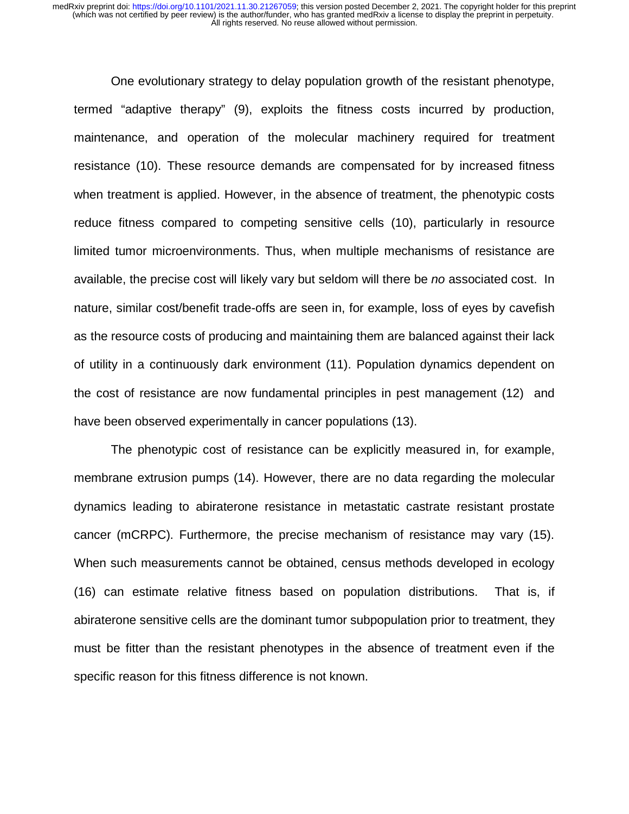One evolutionary strategy to delay population growth of the resistant phenotype, termed "adaptive therapy" (9), exploits the fitness costs incurred by production, maintenance, and operation of the molecular machinery required for treatment resistance (10). These resource demands are compensated for by increased fitness when treatment is applied. However, in the absence of treatment, the phenotypic costs reduce fitness compared to competing sensitive cells (10), particularly in resource limited tumor microenvironments. Thus, when multiple mechanisms of resistance are available, the precise cost will likely vary but seldom will there be *no* associated cost. In nature, similar cost/benefit trade-offs are seen in, for example, loss of eyes by cavefish as the resource costs of producing and maintaining them are balanced against their lack of utility in a continuously dark environment (11). Population dynamics dependent on the cost of resistance are now fundamental principles in pest management (12) and have been observed experimentally in cancer populations (13).

The phenotypic cost of resistance can be explicitly measured in, for example, membrane extrusion pumps (14). However, there are no data regarding the molecular dynamics leading to abiraterone resistance in metastatic castrate resistant prostate cancer (mCRPC). Furthermore, the precise mechanism of resistance may vary (15). When such measurements cannot be obtained, census methods developed in ecology (16) can estimate relative fitness based on population distributions. That is, if abiraterone sensitive cells are the dominant tumor subpopulation prior to treatment, they must be fitter than the resistant phenotypes in the absence of treatment even if the specific reason for this fitness difference is not known.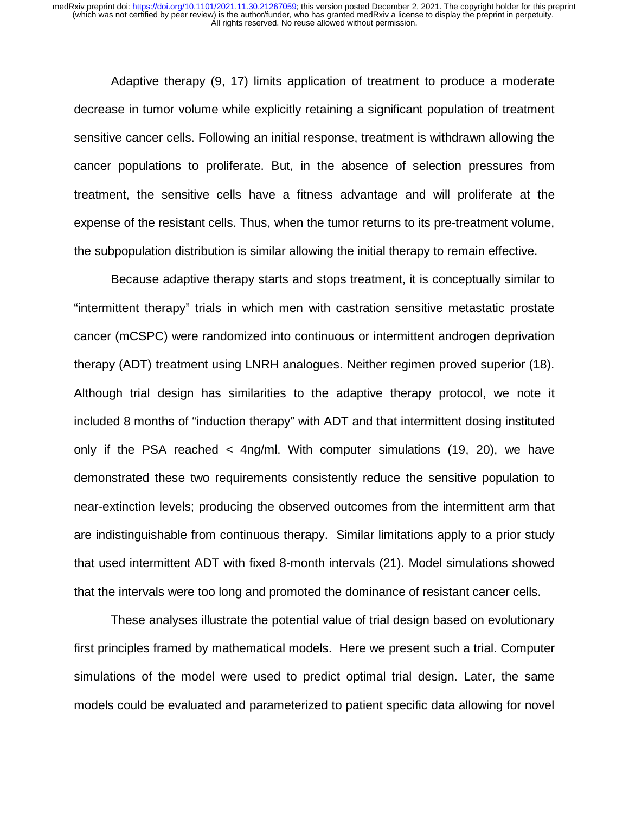Adaptive therapy (9, 17) limits application of treatment to produce a moderate decrease in tumor volume while explicitly retaining a significant population of treatment sensitive cancer cells. Following an initial response, treatment is withdrawn allowing the cancer populations to proliferate. But, in the absence of selection pressures from treatment, the sensitive cells have a fitness advantage and will proliferate at the expense of the resistant cells. Thus, when the tumor returns to its pre-treatment volume, the subpopulation distribution is similar allowing the initial therapy to remain effective.

Because adaptive therapy starts and stops treatment, it is conceptually similar to "intermittent therapy" trials in which men with castration sensitive metastatic prostate cancer (mCSPC) were randomized into continuous or intermittent androgen deprivation therapy (ADT) treatment using LNRH analogues. Neither regimen proved superior (18). Although trial design has similarities to the adaptive therapy protocol, we note it included 8 months of "induction therapy" with ADT and that intermittent dosing instituted only if the PSA reached < 4ng/ml. With computer simulations (19, 20), we have demonstrated these two requirements consistently reduce the sensitive population to near-extinction levels; producing the observed outcomes from the intermittent arm that are indistinguishable from continuous therapy. Similar limitations apply to a prior study that used intermittent ADT with fixed 8-month intervals (21). Model simulations showed that the intervals were too long and promoted the dominance of resistant cancer cells.

These analyses illustrate the potential value of trial design based on evolutionary first principles framed by mathematical models. Here we present such a trial. Computer simulations of the model were used to predict optimal trial design. Later, the same models could be evaluated and parameterized to patient specific data allowing for novel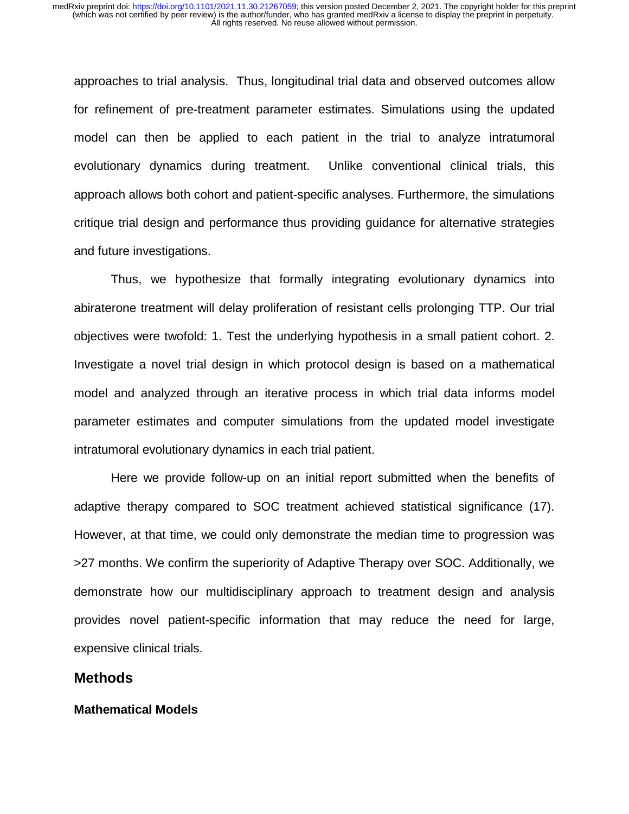approaches to trial analysis. Thus, longitudinal trial data and observed outcomes allow for refinement of pre-treatment parameter estimates. Simulations using the updated model can then be applied to each patient in the trial to analyze intratumoral evolutionary dynamics during treatment. Unlike conventional clinical trials, this approach allows both cohort and patient-specific analyses. Furthermore, the simulations critique trial design and performance thus providing guidance for alternative strategies and future investigations.

Thus, we hypothesize that formally integrating evolutionary dynamics into abiraterone treatment will delay proliferation of resistant cells prolonging TTP. Our trial objectives were twofold: 1. Test the underlying hypothesis in a small patient cohort. 2. Investigate a novel trial design in which protocol design is based on a mathematical model and analyzed through an iterative process in which trial data informs model parameter estimates and computer simulations from the updated model investigate intratumoral evolutionary dynamics in each trial patient.

Here we provide follow-up on an initial report submitted when the benefits of adaptive therapy compared to SOC treatment achieved statistical significance (17). However, at that time, we could only demonstrate the median time to progression was >27 months. We confirm the superiority of Adaptive Therapy over SOC. Additionally, we demonstrate how our multidisciplinary approach to treatment design and analysis provides novel patient-specific information that may reduce the need for large, expensive clinical trials.

### **Methods**

#### **Mathematical Models**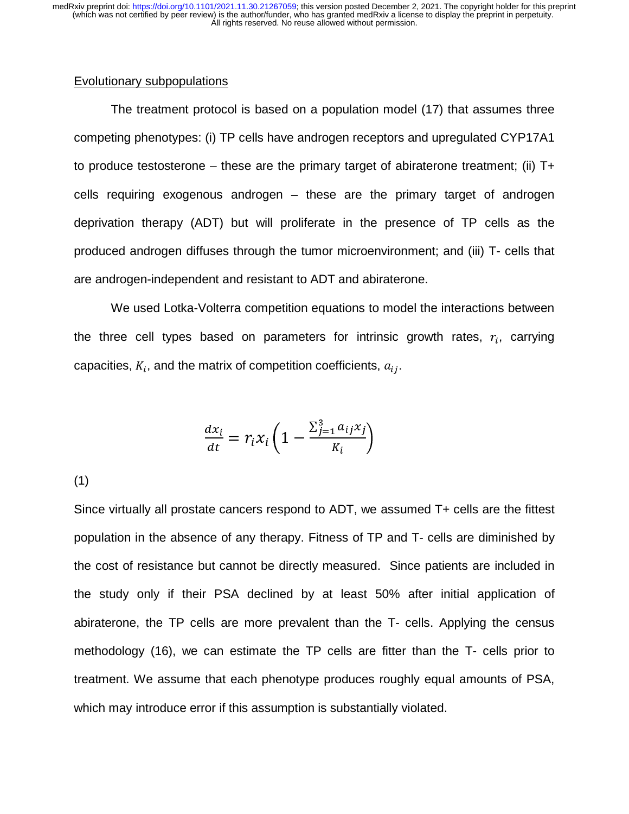#### Evolutionary subpopulations

The treatment protocol is based on a population model (17) that assumes three competing phenotypes: (i) TP cells have androgen receptors and upregulated CYP17A1 to produce testosterone – these are the primary target of abiraterone treatment; (ii)  $T+$ cells requiring exogenous androgen – these are the primary target of androgen deprivation therapy (ADT) but will proliferate in the presence of TP cells as the produced androgen diffuses through the tumor microenvironment; and (iii) T- cells that are androgen-independent and resistant to ADT and abiraterone.

We used Lotka-Volterra competition equations to model the interactions between the three cell types based on parameters for intrinsic growth rates,  $r_i$ , carrying capacities,  $K_i$ , and the matrix of competition coefficients,  $a_{ij}$ .

$$
\frac{dx_i}{dt} = r_i x_i \left( 1 - \frac{\sum_{j=1}^3 a_{ij} x_j}{K_i} \right)
$$

(1)

Since virtually all prostate cancers respond to ADT, we assumed T+ cells are the fittest population in the absence of any therapy. Fitness of TP and T- cells are diminished by the cost of resistance but cannot be directly measured. Since patients are included in the study only if their PSA declined by at least 50% after initial application of abiraterone, the TP cells are more prevalent than the T- cells. Applying the census methodology (16), we can estimate the TP cells are fitter than the T- cells prior to treatment. We assume that each phenotype produces roughly equal amounts of PSA, which may introduce error if this assumption is substantially violated.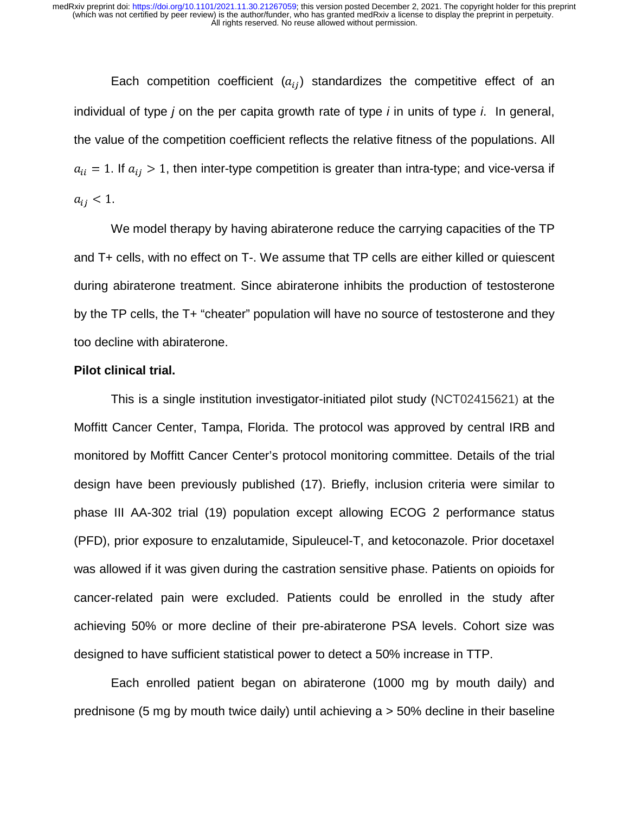Each competition coefficient  $(a_{ij})$  standardizes the competitive effect of an individual of type *j* on the per capita growth rate of type *i* in units of type *i*. In general, the value of the competition coefficient reflects the relative fitness of the populations. All  $a_{ii} = 1$ . If  $a_{ij} > 1$ , then inter-type competition is greater than intra-type; and vice-versa if  $a_{ij} < 1.$ 

We model therapy by having abiraterone reduce the carrying capacities of the TP and T+ cells, with no effect on T-. We assume that TP cells are either killed or quiescent during abiraterone treatment. Since abiraterone inhibits the production of testosterone by the TP cells, the T+ "cheater" population will have no source of testosterone and they too decline with abiraterone.

#### **Pilot clinical trial.**

This is a single institution investigator-initiated pilot study (NCT02415621) at the Moffitt Cancer Center, Tampa, Florida. The protocol was approved by central IRB and monitored by Moffitt Cancer Center's protocol monitoring committee. Details of the trial design have been previously published (17). Briefly, inclusion criteria were similar to phase III AA-302 trial (19) population except allowing ECOG 2 performance status (PFD), prior exposure to enzalutamide, Sipuleucel-T, and ketoconazole. Prior docetaxel was allowed if it was given during the castration sensitive phase. Patients on opioids for cancer-related pain were excluded. Patients could be enrolled in the study after achieving 50% or more decline of their pre-abiraterone PSA levels. Cohort size was designed to have sufficient statistical power to detect a 50% increase in TTP.

Each enrolled patient began on abiraterone (1000 mg by mouth daily) and prednisone (5 mg by mouth twice daily) until achieving a > 50% decline in their baseline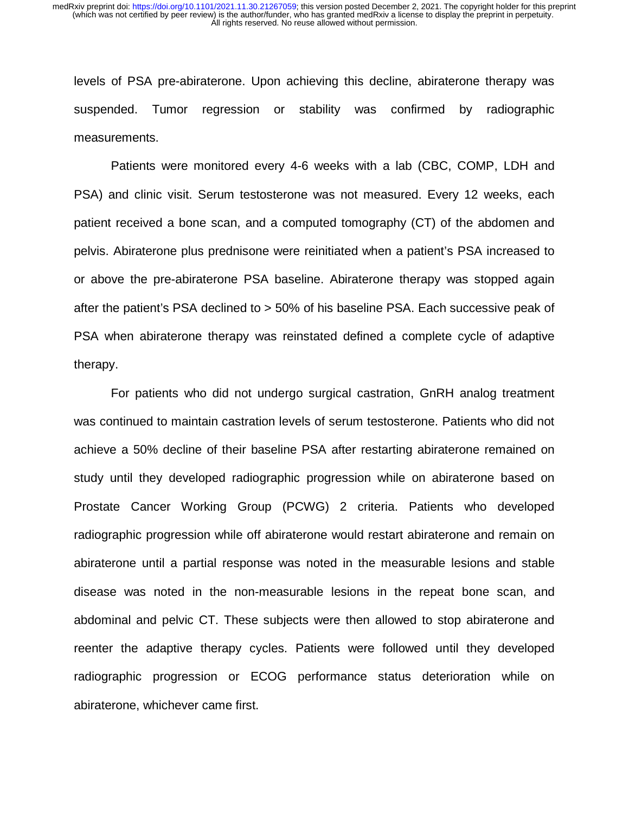levels of PSA pre-abiraterone. Upon achieving this decline, abiraterone therapy was suspended. Tumor regression or stability was confirmed by radiographic measurements.

Patients were monitored every 4-6 weeks with a lab (CBC, COMP, LDH and PSA) and clinic visit. Serum testosterone was not measured. Every 12 weeks, each patient received a bone scan, and a computed tomography (CT) of the abdomen and pelvis. Abiraterone plus prednisone were reinitiated when a patient's PSA increased to or above the pre-abiraterone PSA baseline. Abiraterone therapy was stopped again after the patient's PSA declined to > 50% of his baseline PSA. Each successive peak of PSA when abiraterone therapy was reinstated defined a complete cycle of adaptive therapy.

For patients who did not undergo surgical castration, GnRH analog treatment was continued to maintain castration levels of serum testosterone. Patients who did not achieve a 50% decline of their baseline PSA after restarting abiraterone remained on study until they developed radiographic progression while on abiraterone based on Prostate Cancer Working Group (PCWG) 2 criteria. Patients who developed radiographic progression while off abiraterone would restart abiraterone and remain on abiraterone until a partial response was noted in the measurable lesions and stable disease was noted in the non-measurable lesions in the repeat bone scan, and abdominal and pelvic CT. These subjects were then allowed to stop abiraterone and reenter the adaptive therapy cycles. Patients were followed until they developed radiographic progression or ECOG performance status deterioration while on abiraterone, whichever came first.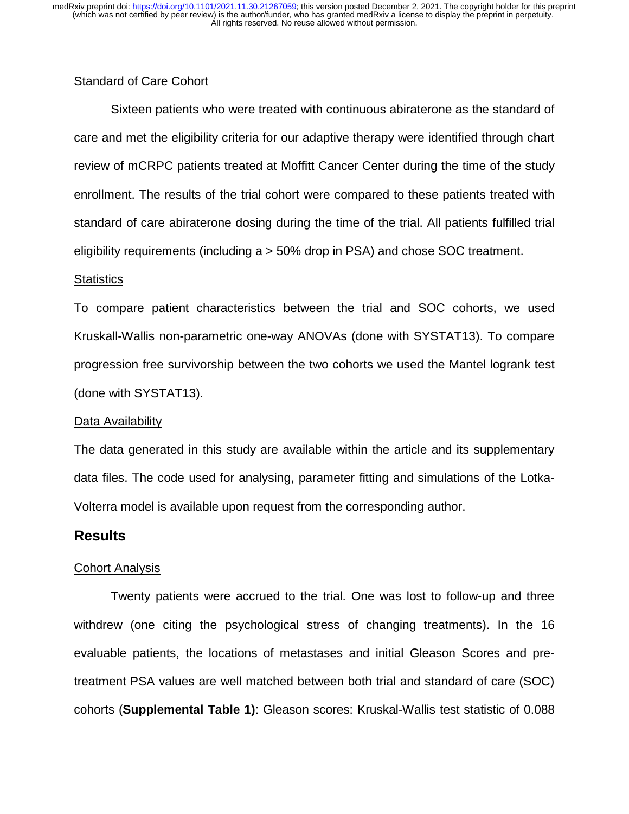#### Standard of Care Cohort

Sixteen patients who were treated with continuous abiraterone as the standard of care and met the eligibility criteria for our adaptive therapy were identified through chart review of mCRPC patients treated at Moffitt Cancer Center during the time of the study enrollment. The results of the trial cohort were compared to these patients treated with standard of care abiraterone dosing during the time of the trial. All patients fulfilled trial eligibility requirements (including a > 50% drop in PSA) and chose SOC treatment.

#### **Statistics**

To compare patient characteristics between the trial and SOC cohorts, we used Kruskall-Wallis non-parametric one-way ANOVAs (done with SYSTAT13). To compare progression free survivorship between the two cohorts we used the Mantel logrank test (done with SYSTAT13).

#### Data Availability

The data generated in this study are available within the article and its supplementary data files. The code used for analysing, parameter fitting and simulations of the Lotka-Volterra model is available upon request from the corresponding author.

## **Results**

#### Cohort Analysis

Twenty patients were accrued to the trial. One was lost to follow-up and three withdrew (one citing the psychological stress of changing treatments). In the 16 evaluable patients, the locations of metastases and initial Gleason Scores and pretreatment PSA values are well matched between both trial and standard of care (SOC) cohorts (**Supplemental Table 1)**: Gleason scores: Kruskal-Wallis test statistic of 0.088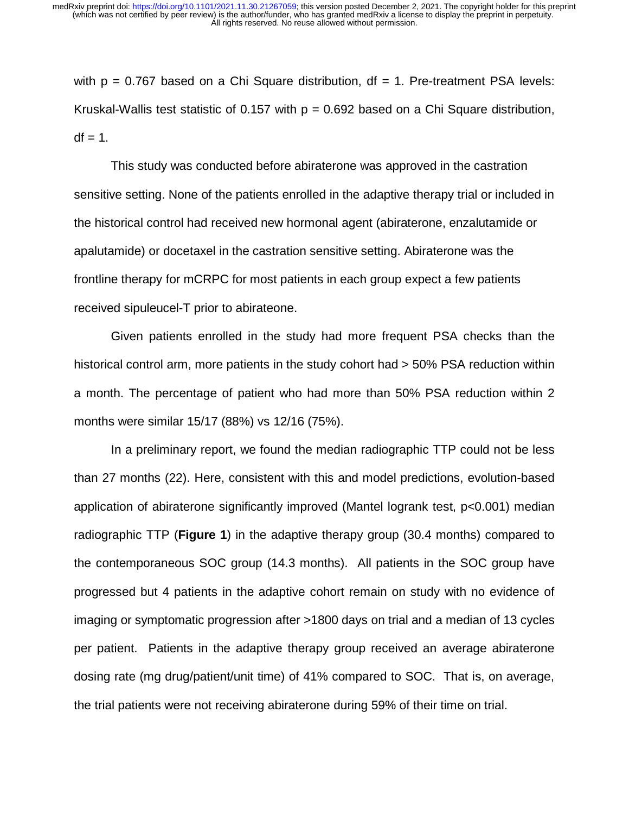with  $p = 0.767$  based on a Chi Square distribution,  $df = 1$ . Pre-treatment PSA levels: Kruskal-Wallis test statistic of 0.157 with  $p = 0.692$  based on a Chi Square distribution,  $df = 1$ .

This study was conducted before abiraterone was approved in the castration sensitive setting. None of the patients enrolled in the adaptive therapy trial or included in the historical control had received new hormonal agent (abiraterone, enzalutamide or apalutamide) or docetaxel in the castration sensitive setting. Abiraterone was the frontline therapy for mCRPC for most patients in each group expect a few patients received sipuleucel-T prior to abirateone.

Given patients enrolled in the study had more frequent PSA checks than the historical control arm, more patients in the study cohort had  $>$  50% PSA reduction within a month. The percentage of patient who had more than 50% PSA reduction within 2 months were similar 15/17 (88%) vs 12/16 (75%).

In a preliminary report, we found the median radiographic TTP could not be less than 27 months (22). Here, consistent with this and model predictions, evolution-based application of abiraterone significantly improved (Mantel logrank test, p<0.001) median radiographic TTP (**Figure 1**) in the adaptive therapy group (30.4 months) compared to the contemporaneous SOC group (14.3 months). All patients in the SOC group have progressed but 4 patients in the adaptive cohort remain on study with no evidence of imaging or symptomatic progression after >1800 days on trial and a median of 13 cycles per patient. Patients in the adaptive therapy group received an average abiraterone dosing rate (mg drug/patient/unit time) of 41% compared to SOC. That is, on average, the trial patients were not receiving abiraterone during 59% of their time on trial.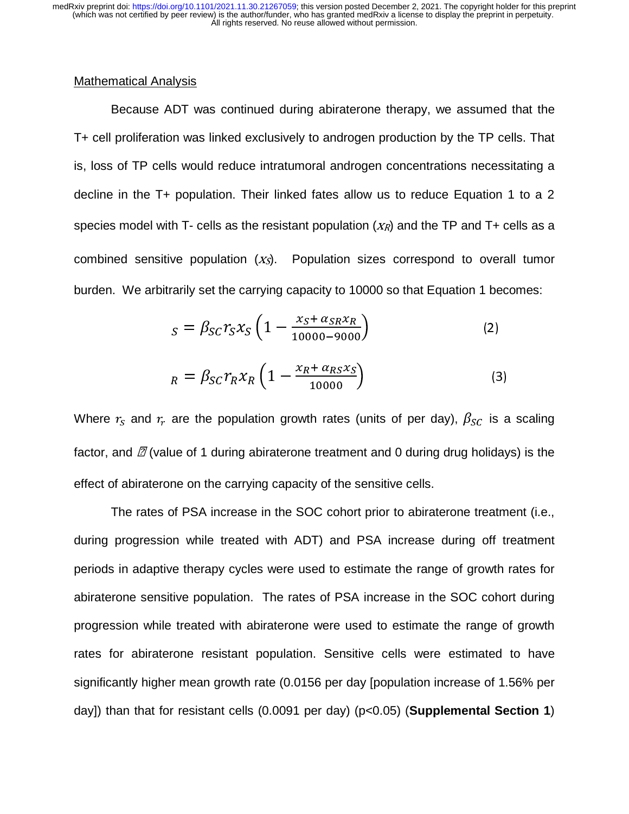#### Mathematical Analysis

 $\overline{ }$  Because ADT was continued during abiraterone therapy, we assumed that the T+ cell proliferation was linked exclusively to androgen production by the TP cells. That is, loss of TP cells would reduce intratumoral androgen concentrations necessitating a decline in the T+ population. Their linked fates allow us to reduce Equation 1 to a 2 species model with T- cells as the resistant population  $(X_R)$  and the TP and T+ cells as a combined sensitive population  $(X_S)$ . Population sizes correspond to overall tumor burden. We arbitrarily set the carrying capacity to 10000 so that Equation 1 becomes:

$$
s = \beta_{SC} r_S x_S \left( 1 - \frac{x_S + \alpha_{SR} x_R}{10000 - 9000} \right) \tag{2}
$$

$$
_{R} = \beta_{SC} r_{R} x_{R} \left(1 - \frac{x_{R} + \alpha_{RS} x_{S}}{10000}\right) \tag{3}
$$

Where  $r_{\scriptscriptstyle S}$  and  $r_{\!r}$  are the population growth rates (units of per day),  $\beta_{\scriptstyle{SC}}$  is a scaling factor, and  $\varnothing$  (value of 1 during abiraterone treatment and 0 during drug holidays) is the effect of abiraterone on the carrying capacity of the sensitive cells.

The rates of PSA increase in the SOC cohort prior to abiraterone treatment (i.e., during progression while treated with ADT) and PSA increase during off treatment periods in adaptive therapy cycles were used to estimate the range of growth rates for abiraterone sensitive population. The rates of PSA increase in the SOC cohort during progression while treated with abiraterone were used to estimate the range of growth rates for abiraterone resistant population. Sensitive cells were estimated to have significantly higher mean growth rate (0.0156 per day [population increase of 1.56% per day]) than that for resistant cells (0.0091 per day) (p<0.05) (**Supplemental Section 1**)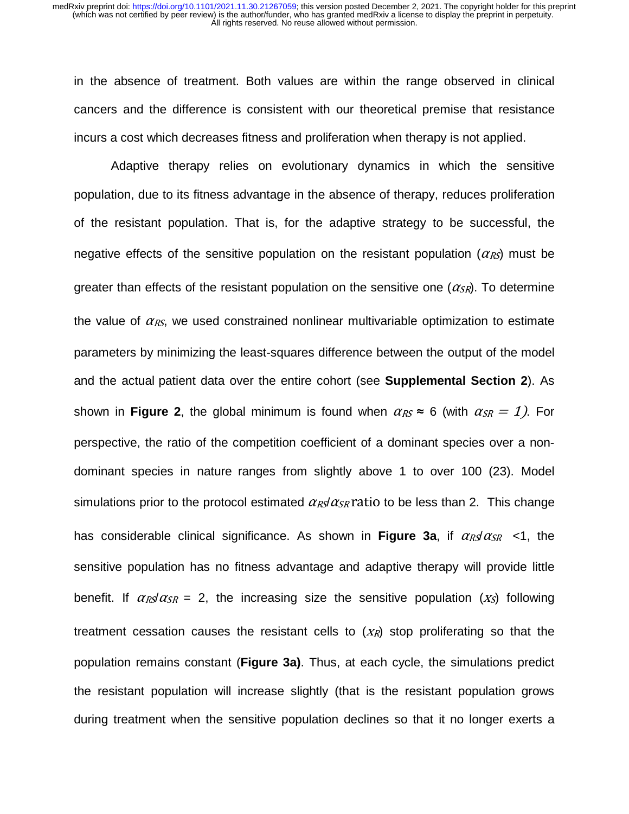in the absence of treatment. Both values are within the range observed in clinical cancers and the difference is consistent with our theoretical premise that resistance incurs a cost which decreases fitness and proliferation when therapy is not applied.

Adaptive therapy relies on evolutionary dynamics in which the sensitive population, due to its fitness advantage in the absence of therapy, reduces proliferation of the resistant population. That is, for the adaptive strategy to be successful, the negative effects of the sensitive population on the resistant population  $(\alpha_{RS})$  must be greater than effects of the resistant population on the sensitive one  $(\alpha_{SR})$ . To determine the value of  $\alpha_{RS}$ , we used constrained nonlinear multivariable optimization to estimate parameters by minimizing the least-squares difference between the output of the model and the actual patient data over the entire cohort (see **Supplemental Section 2**). As shown in **Figure 2**, the global minimum is found when  $\alpha_{RS} \approx 6$  (with  $\alpha_{SR} = 1$ ). For perspective, the ratio of the competition coefficient of a dominant species over a nondominant species in nature ranges from slightly above 1 to over 100 (23). Model ranges from slightly above 1 to over 100 (23). Model<br>col estimated  $\alpha_{RS}/\alpha_{SR}$  ratio to be less than 2. This change simulations prior to the protocol estimated  $\alpha_{\mathit{RS}}/\alpha_{\mathit{SR}}$  ratio to be less than 2. This change has considerable clinical significance. As shown in **Figure 3a**, if  $\alpha_R \alpha_{SR}$  <1, the sensitive population has no fitness advantage and adaptive therapy will provide little benefit. If  $\alpha_{R}g\alpha_{SR} = 2$ , the increasing size the sensitive population  $(x_S)$  following treatment cessation causes the resistant cells to  $(X_R)$  stop proliferating so that the population remains constant (**Figure 3a)**. Thus, at each cycle, the simulations predict the resistant population will increase slightly (that is the resistant population grows during treatment when the sensitive population declines so that it no longer exerts a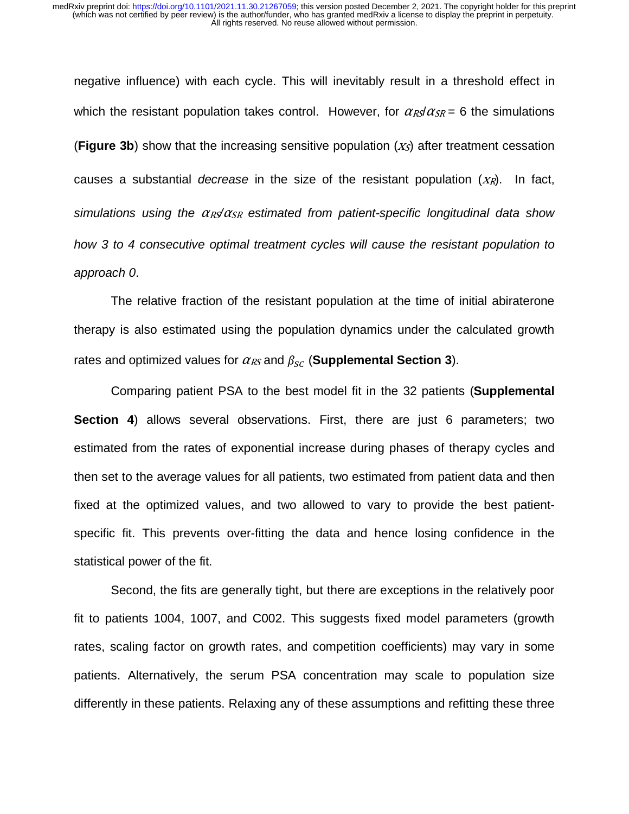negative influence) with each cycle. This will inevitably result in a threshold effect in which the resistant population takes control. However, for  $\alpha_{RS}/\alpha_{SR} = 6$  the simulations **(Figure 3b)** show that the increasing sensitive population  $(x<sub>s</sub>)$  after treatment cessation causes a substantial *decrease* in the size of the resistant population  $(X_R)$ . In fact, *simulations using the*  $\alpha$ *<sub>RS</sub>/α<sub>SR</sub> estimated from patient-specific longitudinal data show how 3 to 4 consecutive optimal treatment cycles will cause the resistant population to approach 0*.

The relative fraction of the resistant population at the time of initial abiraterone therapy is also estimated using the population dynamics under the calculated growth rates and optimized values for  $\alpha_{\mathit{RS}}$  and  $\beta_{\mathit{SC}}$  (**Supplemental Section 3**).

Comparing patient PSA to the best model fit in the 32 patients (**Supplemental Section 4**) allows several observations. First, there are just 6 parameters; two estimated from the rates of exponential increase during phases of therapy cycles and then set to the average values for all patients, two estimated from patient data and then fixed at the optimized values, and two allowed to vary to provide the best patientspecific fit. This prevents over-fitting the data and hence losing confidence in the statistical power of the fit.

Second, the fits are generally tight, but there are exceptions in the relatively poor fit to patients 1004, 1007, and C002. This suggests fixed model parameters (growth rates, scaling factor on growth rates, and competition coefficients) may vary in some patients. Alternatively, the serum PSA concentration may scale to population size differently in these patients. Relaxing any of these assumptions and refitting these three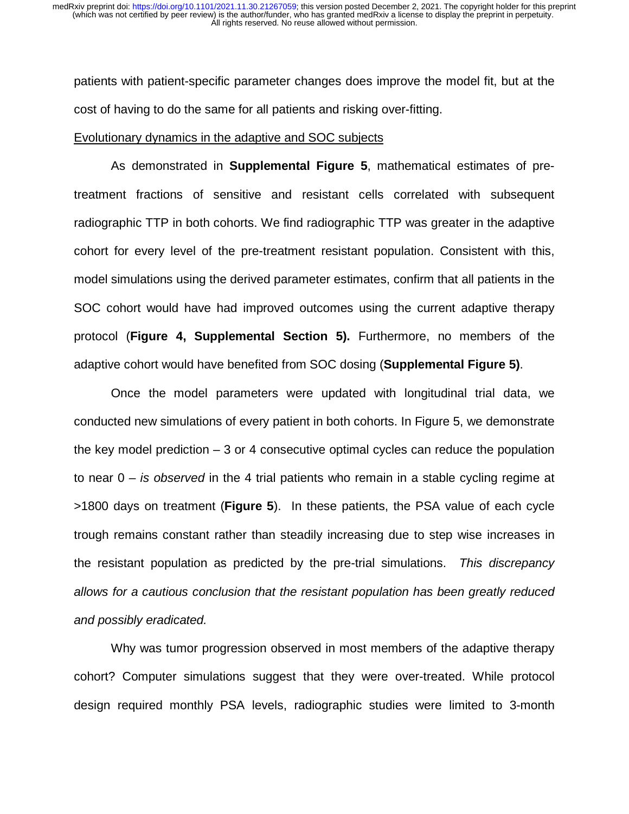patients with patient-specific parameter changes does improve the model fit, but at the cost of having to do the same for all patients and risking over-fitting.

#### Evolutionary dynamics in the adaptive and SOC subjects

As demonstrated in **Supplemental Figure 5**, mathematical estimates of pretreatment fractions of sensitive and resistant cells correlated with subsequent radiographic TTP in both cohorts. We find radiographic TTP was greater in the adaptive cohort for every level of the pre-treatment resistant population. Consistent with this, model simulations using the derived parameter estimates, confirm that all patients in the SOC cohort would have had improved outcomes using the current adaptive therapy protocol (**Figure 4, Supplemental Section 5).** Furthermore, no members of the adaptive cohort would have benefited from SOC dosing (**Supplemental Figure 5)**.

Once the model parameters were updated with longitudinal trial data, we conducted new simulations of every patient in both cohorts. In Figure 5, we demonstrate the key model prediction  $-3$  or 4 consecutive optimal cycles can reduce the population to near 0 – *is observed* in the 4 trial patients who remain in a stable cycling regime at >1800 days on treatment (**Figure 5**). In these patients, the PSA value of each cycle trough remains constant rather than steadily increasing due to step wise increases in the resistant population as predicted by the pre-trial simulations. *This discrepancy allows for a cautious conclusion that the resistant population has been greatly reduced and possibly eradicated.*

Why was tumor progression observed in most members of the adaptive therapy cohort? Computer simulations suggest that they were over-treated. While protocol design required monthly PSA levels, radiographic studies were limited to 3-month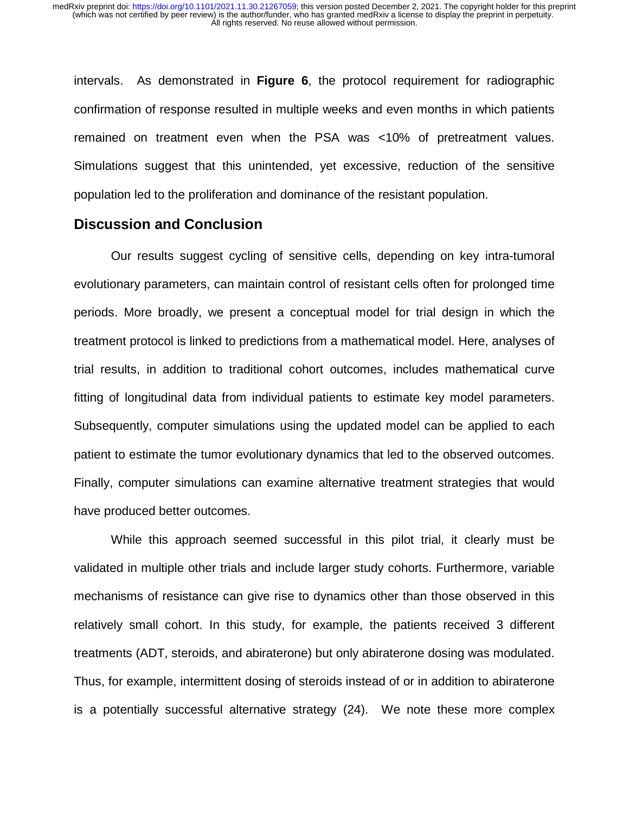intervals. As demonstrated in **Figure 6**, the protocol requirement for radiographic confirmation of response resulted in multiple weeks and even months in which patients remained on treatment even when the PSA was <10% of pretreatment values. Simulations suggest that this unintended, yet excessive, reduction of the sensitive population led to the proliferation and dominance of the resistant population.

## **Discussion and Conclusion**

Our results suggest cycling of sensitive cells, depending on key intra-tumoral evolutionary parameters, can maintain control of resistant cells often for prolonged time periods. More broadly, we present a conceptual model for trial design in which the treatment protocol is linked to predictions from a mathematical model. Here, analyses of trial results, in addition to traditional cohort outcomes, includes mathematical curve fitting of longitudinal data from individual patients to estimate key model parameters. Subsequently, computer simulations using the updated model can be applied to each patient to estimate the tumor evolutionary dynamics that led to the observed outcomes. Finally, computer simulations can examine alternative treatment strategies that would have produced better outcomes.

While this approach seemed successful in this pilot trial, it clearly must be validated in multiple other trials and include larger study cohorts. Furthermore, variable mechanisms of resistance can give rise to dynamics other than those observed in this relatively small cohort. In this study, for example, the patients received 3 different treatments (ADT, steroids, and abiraterone) but only abiraterone dosing was modulated. Thus, for example, intermittent dosing of steroids instead of or in addition to abiraterone is a potentially successful alternative strategy (24). We note these more complex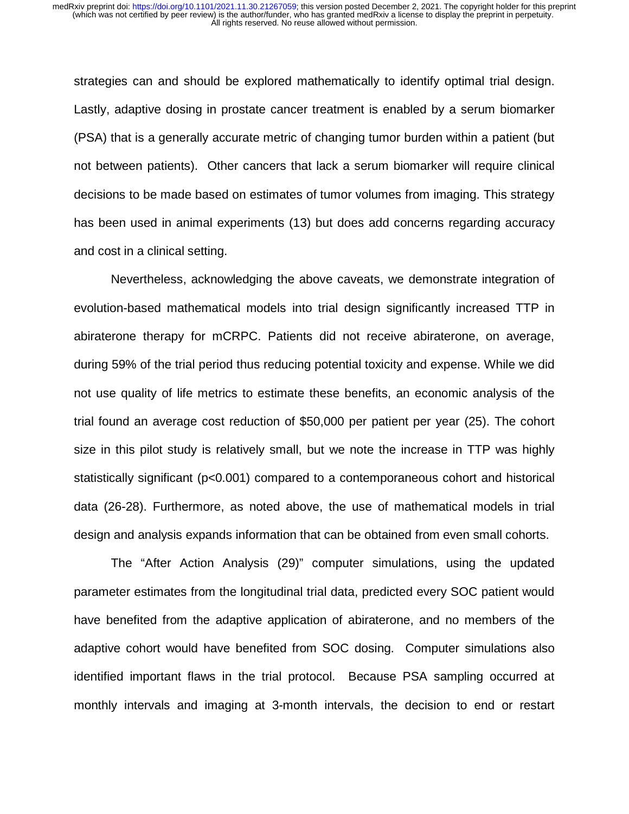strategies can and should be explored mathematically to identify optimal trial design. Lastly, adaptive dosing in prostate cancer treatment is enabled by a serum biomarker (PSA) that is a generally accurate metric of changing tumor burden within a patient (but not between patients). Other cancers that lack a serum biomarker will require clinical decisions to be made based on estimates of tumor volumes from imaging. This strategy has been used in animal experiments (13) but does add concerns regarding accuracy and cost in a clinical setting.

Nevertheless, acknowledging the above caveats, we demonstrate integration of evolution-based mathematical models into trial design significantly increased TTP in abiraterone therapy for mCRPC. Patients did not receive abiraterone, on average, during 59% of the trial period thus reducing potential toxicity and expense. While we did not use quality of life metrics to estimate these benefits, an economic analysis of the trial found an average cost reduction of \$50,000 per patient per year (25). The cohort size in this pilot study is relatively small, but we note the increase in TTP was highly statistically significant (p<0.001) compared to a contemporaneous cohort and historical data (26-28). Furthermore, as noted above, the use of mathematical models in trial design and analysis expands information that can be obtained from even small cohorts.

The "After Action Analysis (29)" computer simulations, using the updated parameter estimates from the longitudinal trial data, predicted every SOC patient would have benefited from the adaptive application of abiraterone, and no members of the adaptive cohort would have benefited from SOC dosing. Computer simulations also identified important flaws in the trial protocol. Because PSA sampling occurred at monthly intervals and imaging at 3-month intervals, the decision to end or restart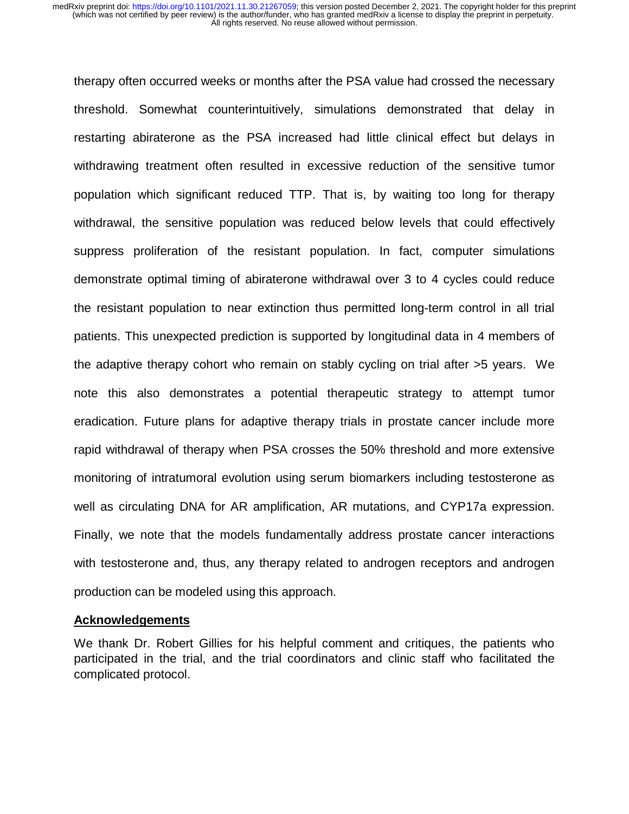therapy often occurred weeks or months after the PSA value had crossed the necessary threshold. Somewhat counterintuitively, simulations demonstrated that delay in restarting abiraterone as the PSA increased had little clinical effect but delays in withdrawing treatment often resulted in excessive reduction of the sensitive tumor population which significant reduced TTP. That is, by waiting too long for therapy withdrawal, the sensitive population was reduced below levels that could effectively suppress proliferation of the resistant population. In fact, computer simulations demonstrate optimal timing of abiraterone withdrawal over 3 to 4 cycles could reduce the resistant population to near extinction thus permitted long-term control in all trial patients. This unexpected prediction is supported by longitudinal data in 4 members of the adaptive therapy cohort who remain on stably cycling on trial after >5 years. We note this also demonstrates a potential therapeutic strategy to attempt tumor eradication. Future plans for adaptive therapy trials in prostate cancer include more rapid withdrawal of therapy when PSA crosses the 50% threshold and more extensive monitoring of intratumoral evolution using serum biomarkers including testosterone as well as circulating DNA for AR amplification, AR mutations, and CYP17a expression. Finally, we note that the models fundamentally address prostate cancer interactions with testosterone and, thus, any therapy related to androgen receptors and androgen production can be modeled using this approach.

#### **Acknowledgements**

We thank Dr. Robert Gillies for his helpful comment and critiques, the patients who participated in the trial, and the trial coordinators and clinic staff who facilitated the complicated protocol.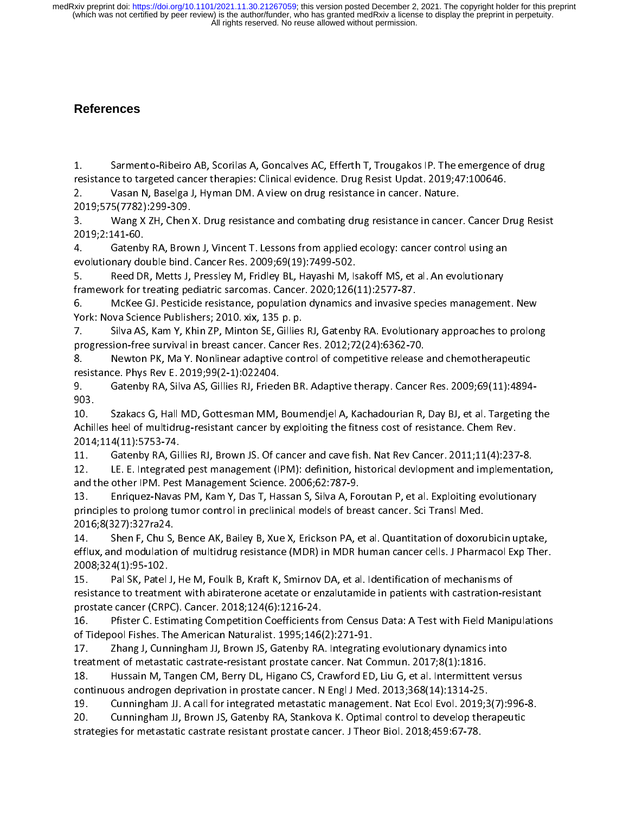## **References**

 $\ddot{\phantom{0}}$ 1. Sarmento-Ribeiro AB, Scorilas A, Goncalves AC, Efferth T, Trougakos IP. The emergence of drug<br>resistance to targeted cancer therapies: Clinical evidence. Drug Resist Updat. 2019;47:100646.<br>2. Vasan N, Baselga J, Hyman D

2. Vasan N, Baselga J, Hyman DM. A view on drug resistance in cancer. Nature.<br>2019;575(7782):299-309.<br>3. Vang X ZH. Chen X. Drug resistance and combating drug resistance in cancer

2019;575(7782):299-309.<br>3. Wang X ZH, Chen X. Drug resistance and combating drug resistance in cancer 3. Vang X ZH, Chen<br>2019;2:141-60.

2019;2:141-60.<br>4. Gatenby RA, Brown J, Vincent T. Lessons from applied ecology: cancer control using an evolutionary double bind. Cancer Res. 2009;69(19):7499-502.<br>2. Reed DR, Metts J, Pressley M, Fridley BL, Hayashi M, Is

Reed DR, Metts J, Pressley M, Fridley BL, Hayashi M, Isakoff MS, et al. An evolutionary framework for treating pediatric sarcomas. Cancer. 2020;126(11):2577-87.<br>6. McKee GJ. Pesticide resistance, population dynamics and invasive s

framework for treating pediatric sarcomas. Cancer. 2020;126(11):2577-87.<br>6. McKee GJ. Pesticide resistance, population dynamics and invasive species managemen framework for treating pediatric sarcomas. Sarcomas Cancer. 2020;2020;2020;2020;<br>6. McKee GJ. Pesticide resistance, population dynamics and invasive s<br>York: Nova Science Publishers; 2010. xix, 135 p. p. 6. York: Nova Science Publishers; 2010. xix, 135 p. p.<br>6. Matenby RA. Evolutionary approaches T. Governes M. Petenby R. Evolutionary approaches to prolong

progression-free survival in breast cancer. Cancer Res. 2012;72(24):6362-70.<br>8. Pewton PK, Ma Y. Nonlinear adaptive control of competitive release progression-free survival in breast cancer. Cancer Res. 2012;72(24):6362-70.<br>8. Newton PK, Ma Y. Nonlinear adaptive control of competitive release and chemotherapeutic

progression-free survival in breast and the set of the set of the set of the set of the set of the release resistance. Phys Rev E. 2019;99(2-1):022404.

8. Newton Province competies and competitive competitive release and chemotherapeutic<br>P. Gatenby RA, Silva AS, Gillies RJ, Frieden BR. Adaptive therapy. Cancer Res. 2009;69(11):4894 resistance. Phys Rev E. 2023, 2019<br>9. Gatenby RA, Silva AS, Gillies RJ, Friede<br>903. 9. Gatenby RA, Silva AS, Gillies RJ, Frieden BR. Adaptive therapy. Cancer Res. 2009;69(11):4894-<br>903. Szakacs G, Hall MD, Gottesman MM, Boumendjel A, Kachadourian R, Day BJ, et al. Targeting the

10.<br>Achil Achilles heel of multidrug-resistant cancer by exploiting the fitness cost of resistance. Chem Rev.<br>2014;114(11):5753-74.

2014;114(11):5753-74.<br>11. Gatenby RA, Gillies RJ, Brown JS. Of cancer and cave fish. Nat Rev Cancer. 2011;11(4):237-8.<br>12. LE. E. Integrated pest management (IPM): definition, historical devlopment and implementa<sup>.</sup>

2014;12012:07<br>11. Gatenby RA, Gil<br>12. LE. E. Integrated 12. LE. E. Integrated pest management (IPM): definition, historical devlopment and implementat<br>and the other IPM. Pest Management Science. 2006;62:787-9.

and the other IPM. Pest Management Science. 2006;62:787-9.<br>13. LET. Enriquez-Navas PM, Kam Y, Das T, Hassan S, Silva A, Foroutan P, et al. Exploiting evolutionary 13. Laniquez-Navas PM, Kam Y, Das T, Hassan S, Silva A, Fo<br>principles to prolong tumor control in preclinical models of bre 13. Enriquez-Navas PM, Kam Y, Das P, Massan S, Silva A, P P, Balanc, Sci Transl Med.<br>principles to prolong tumor control in preclinical models of breast cancer. Sci Transl Med.<br>2016;8(327):327ra24.

2016;8(327):327ra24.<br>14. Shen F, Chu S, Bence AK, Bailey B, Xue X, Erickson PA, et al. Quantitation of doxorubicin uptake, 14. Shen F, Chu S,<br>efflux, and modulatior efflux, and modulation of multidrug resistance (MDR) in MDR human cancer cells. J Pharmacol Exp Ther.<br>2008;324(1):95-102. 2008;324(1):95-102.<br>15. Pal SK, Patel J, He M, Foulk B, Kraft K, Smirnov DA, et al. Identification of mechanisms of

2009;224(2):2009;200<br>15. Pal SK, Patel<br>resistance to treatme 15. Pal Sk , Pal Sk, Pal Sk, Pal Sk, Pal Sk, Pal Sk, Pal Sk, Pal Sk, Pal Sk, Pal Sk, Pal Sk, Pal Sk, Pal Sk, Pal<br>Prostate cancer (CRPC). Cancer. 2018;124(6):1216-24.

prostate cancer (CRPC). Cancer. 2018;124(6):1216-24.<br>16. Pfister C. Estimating Competition Coefficients from Census Data: A Test with Field Manipulations of Tidepool Fishes. The American Naturalist. 1995;146(2):271-91.<br>17. Zhang J. Cunningham JJ. Brown JS. Gatenby RA. Integratir

Zhang J, Cunningham JJ, Brown JS, Gatenby RA. Integrating evolutionary dynamics into treatment of metastatic castrate-resistant prostate cancer. Nat Commun. 2017;8(1):1816.<br>18. Hussain M. Tangen CM. Berry DL. Higano CS. Crawford ED. Liu G. et al. Intermitten

Hussain M, Tangen CM, Berry DL, Higano CS, Crawford ED, Liu G, et al. Intermittent versus treatment of metastatic castratic castratic process cancer. The communication of the state of 18.<br>18. Hussain M, Tangen CM, Berry DL, Higano CS, Crawford ED, Liu G, et al. Intermittent<br>continuous androgen deprivation in pr 18. Hussain M, Tangen CM, Berry Depthaline Commercially Commercial Continuous androgen deprivation in prostate cancer. N Engl J Med. 2013;368(14):1314-25.<br>19. Cunningham JJ. A call for integrated metastatic management. Nat

commedia androgen deprivation in processes cancer. Tangle in each process cancer. The Cunningham JJ, A call for integrated metastatic management. Nat Ecol Evol. 2019;3<br>20. Cunningham JJ, Brown JS, Gatenby RA, Stankova K. O 20. Cunningham JJ, Brown JS, Gatenby RA, Stankova K. Optimal control to develop therapeutic<br>strategies for metastatic castrate resistant prostate cancer. J Theor Biol. 2018;459:67-78. 20. Cunningham JJ, Brown JS, Gatenby RA, Stankova K. Optimal control to develop therapeutic statenes in the st<br>strategies for metastatic castrate resistant prostate cancer. J Theor Biol. 2018;459:67-78. strategies for metastatic castrate resistant prostate cancer. J Theor Biol. 2018;459:67-78.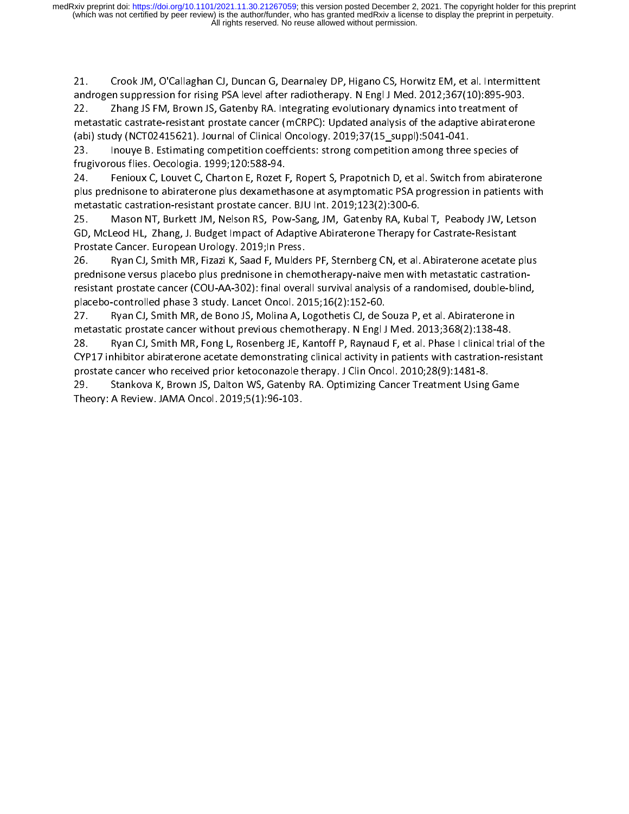21. Crook JM, O'Callaghan CJ, Duncan G, Dearnaley DP, Higano CS, Horwitz EM, et al. Intermittent<br>androgen suppression for rising PSA level after radiotherapy. N Engl J Med. 2012;367(10):895-903.<br>22. Zhang JS FM, Brown JS,

androgen suppression for rising Perrossion for readering procession for each contract represent of<br>22. Thang JS FM, Brown JS, Gatenby RA. Integrating evolutionary dynamics into treatment of<br>metastatic castrate-resistant pr metastatic castrate-resistant prostate cancer (mCRPC): Updated analysis of the adaptive abiraterc<br>(abi) study (NCT02415621). Journal of Clinical Oncology. 2019;37(15\_suppl):5041-041.

(abi) study (NCT02415621). Journal of Clinical Oncology. 2019;37(15\_suppl):5041-041.<br>23. Inouye B. Estimating competition coeffcients: strong competition among three<br>frugivorous flies. Oecologia. 1999;120:588-94. (absorber 23. Inouye B. Estimating competition coeffcients: strong competition among three species of<br>1999;120:588-94.<br>24. Fenioux C. Louvet C. Charton E. Rozet F. Ropert S. Prapotnich D. et al. Switch from abirater

Fenioux C, Louvet C, Charton E, Rozet F, Ropert S, Prapotnich D, et al. Switch from abiraterone Frught flies. The control of the control of the control of the plus prednisone to abirate one plus dexamething plus prednisone to abiraterone plus dexamethasone at asymptomatic PSA progression in patients with<br>metastatic castration-resistant prostate cancer. BJU Int. 2019;123(2):300-6. metastatic castration-resistant prostate cancer. BJU Int. 2019;123(2):300-6.<br>25. Mason NT, Burkett JM, Nelson RS, Pow-Sang, JM, Gatenby RA, Kubal T, Peabody JW, Letson

metastatic castration-resistant prostate cancer. Both and 2019;2019;2019;2019;201<br>25. Mason NT, Burkett JM, Nelson RS, Pow-Sang, JM, Gatenby RA, Kub.<br>GD, McLeod HL, Zhang, J. Budget Impact of Adaptive Abiraterone Therapy f 25. Mason Mason Nelson, Mason NT, Power Magnett, Partis, Peartis, Angleson, Power and Sang<br>GD, McLeod HL, Zhang, J. Budget Impact of Adaptive Abiraterone Therapy for Castrate-Resistant<br>Prostate Cancer. European Urology. 20 Prostate Cancer. European Urology. 2019; In Press.<br>26. Payan CJ, Smith MR, Fizazi K, Saad F, Mulders PF, Sternberg CN, et al. Abiraterone acetate plus

prednisone versus placebo plus prednisone in chemotherapy-naive men with metastatic castrationresistant prostate cancer (COU-AA-302): final overall survival analysis of a randomised, double-blind, placebo-controlled phase 3 study. Lancet Oncol. 2015;16(2):152-60.<br>27. Payan CJ, Smith MR, de Bono JS, Molina A, Logothetis CJ, de S

Ryan CJ, Smith MR, de Bono JS, Molina A, Logothetis CJ, de Souza P, et al. Abiraterone in placebo-controlled phase 3 study. Lancet Oncol. 2016.<br>27. Pilot Ryan CJ, Smith MR, de Bono JS, Molina A, Logothetis CJ, de S<br>metastatic prostate cancer without previous chemotherapy. N Engl J

metastatic prostate cancer without previous chemotherapy. N Engl J Med. 2013;368(2):138-48.<br>28. Ryan CJ, Smith MR, Fong L, Rosenberg JE, Kantoff P, Raynaud F, et al. Phase I clinical trial 28. Paran CJ, Smith MR, Fong L, Rosenberg JE, Kantoff P, Raynaud F, et al. Phase I clinical tria<br>CYP17 inhibitor abiraterone acetate demonstrating clinical activity in patients with castration-re 22. Ryan Ey, Shamman, Fong L, Rosenberg L, Roman P, Rosenberg Je, Rosenberg II. Phase I clinical trial of the<br>CYP17 inhibitor abiraterone acetate demonstrating clinical activity in patients with castration-resistant<br>prosta CYP11 inhibitor abilitor activity activity activity in patients with castrating constate dancer who received prior ketoconazole therapy. J Clin Oncol. 2010;28(9):1481-8.<br>29. Stankova K, Brown JS, Dalton-WS, Gatenby RA. Opt

process cancer who received prior here conclude therapy. J Chin Phrem 2021, 2010.<br>29. Stankova K, Brown JS, Dalton WS, Gatenby RA. Optimizing Cancer Treatment Using<br>Theory: A Review. JAMA Oncol. 2019;5(1):96-103. 29. Stankova K, Brown JS, Dalton WS, Gatenby<br>Theory: A Review. JAMA Oncol. 2019;5(1):96-103. Theory: A Review. Jamaic Conclusion 2019;5(1):96-103.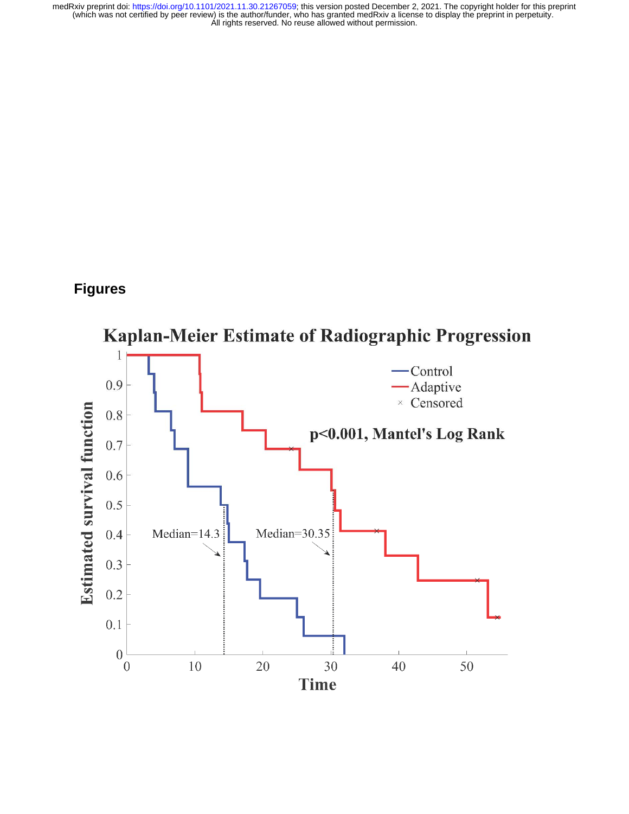# **Figures**

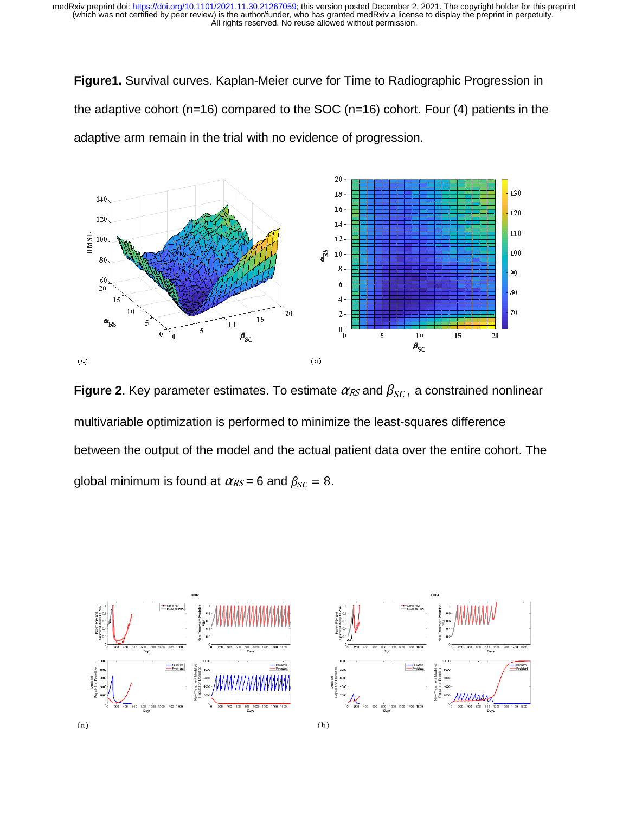**Figure1.** Survival curves. Kaplan-Meier curve for Time to Radiographic Progression in the adaptive cohort ( $n=16$ ) compared to the SOC ( $n=16$ ) cohort. Four (4) patients in the adaptive arm remain in the trial with no evidence of progression.



 $\ddot{\phantom{0}}$ **Figure 2**. Key parameter estimates. To estimate  $\alpha_{RS}$  and  $\beta_{SC}$ , a constrained nonlinear multivariable optimization is performed to minimize the least-squares difference between the output of the model and the actual patient data over the entire cohort. The global minimum is found at  $\alpha_{RS} = 6$  and  $\beta_{SC} = 8$ .

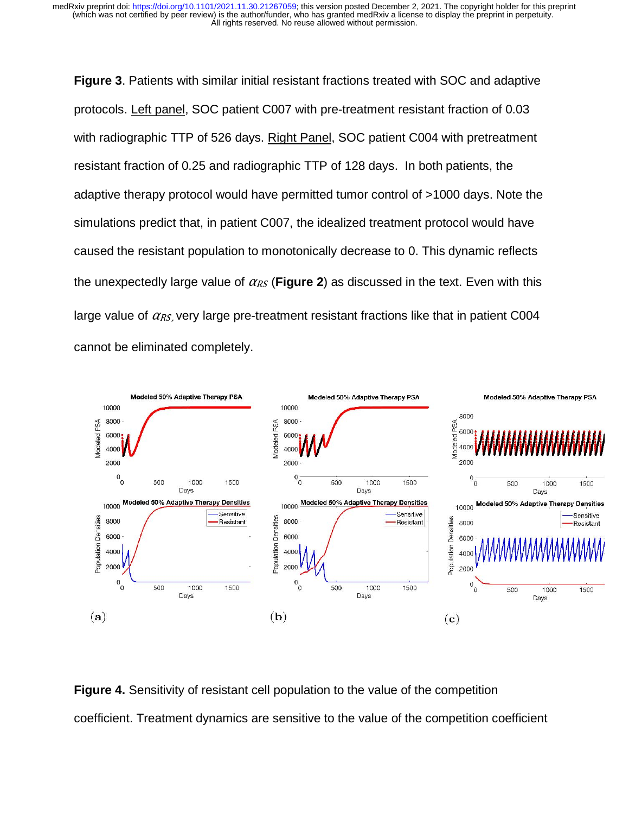**Figure 3**. Patients with similar initial resistant fractions treated with SOC and adaptive protocols. Left panel, SOC patient C007 with pre-treatment resistant fraction of 0.03 with radiographic TTP of 526 days. Right Panel, SOC patient C004 with pretreatment resistant fraction of 0.25 and radiographic TTP of 128 days. In both patients, the adaptive therapy protocol would have permitted tumor control of >1000 days. Note the simulations predict that, in patient C007, the idealized treatment protocol would have caused the resistant population to monotonically decrease to 0. This dynamic reflects the unexpectedly large value of  $\alpha_{RS}$  (Figure 2) as discussed in the text. Even with this large value of  $\alpha_{RS}$ , very large pre-treatment resistant fractions like that in patient C004 cannot be eliminated completely.



 $\overline{a}$ **Figure 4.** Sensitivity of resistant cell population to the value of the competition coefficient. Treatment dynamics are sensitive to the value of the competition coefficient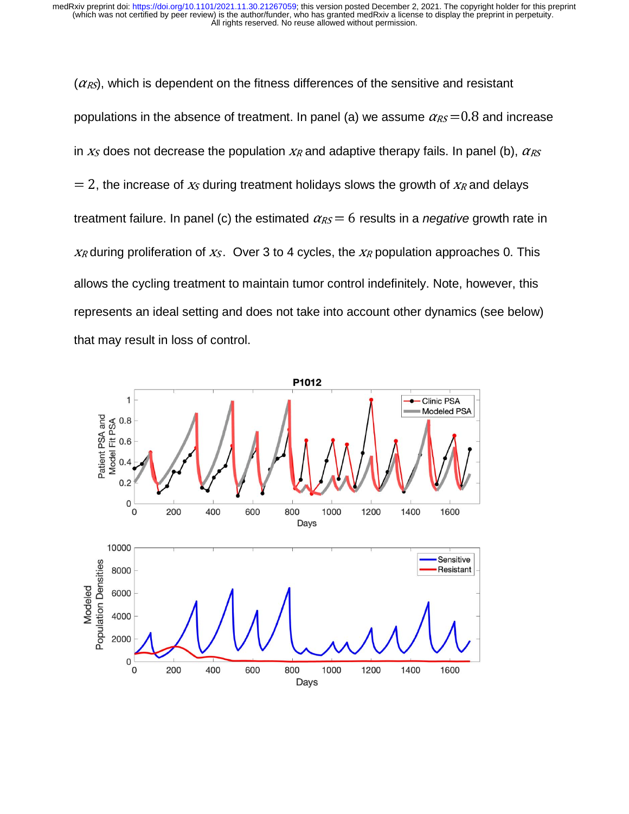$(\alpha_{RS})$ , which is dependent on the fitness differences of the sensitive and resistant populations in the absence of treatment. In panel (a) we assume  $\alpha_{RS} = 0.8$  and increase in  $x<sub>S</sub>$  does not decrease the population  $x<sub>R</sub>$  and adaptive therapy fails. In panel (b),  $\alpha<sub>RS</sub>$  $= 2$ , the increase of  $x<sub>S</sub>$  during treatment holidays slows the growth of  $x<sub>R</sub>$  and delays treatment failure. In panel (c) the estimated  $\alpha_{RS} = 6$  results in a *negative* growth rate in  $X_R$  during proliferation of  $X_S$ . Over 3 to 4 cycles, the  $X_R$  population approaches 0. This allows the cycling treatment to maintain tumor control indefinitely. Note, however, this represents an ideal setting and does not take into account other dynamics (see below) that may result in loss of control.